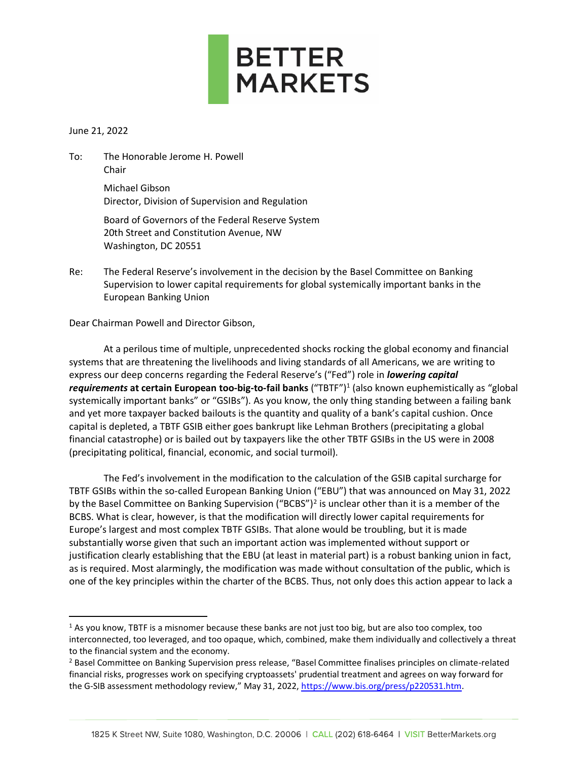

June 21, 2022

To: The Honorable Jerome H. Powell Chair Michael Gibson

Director, Division of Supervision and Regulation

Board of Governors of the Federal Reserve System 20th Street and Constitution Avenue, NW Washington, DC 20551

Re: The Federal Reserve's involvement in the decision by the Basel Committee on Banking Supervision to lower capital requirements for global systemically important banks in the European Banking Union

Dear Chairman Powell and Director Gibson,

At a perilous time of multiple, unprecedented shocks rocking the global economy and financial systems that are threatening the livelihoods and living standards of all Americans, we are writing to express our deep concerns regarding the Federal Reserve's ("Fed") role in *lowering capital*  requirements at certain European too-big-to-fail banks ("TBTF")<sup>1</sup> (also known euphemistically as "global systemically important banks" or "GSIBs"). As you know, the only thing standing between a failing bank and yet more taxpayer backed bailouts is the quantity and quality of a bank's capital cushion. Once capital is depleted, a TBTF GSIB either goes bankrupt like Lehman Brothers (precipitating a global financial catastrophe) or is bailed out by taxpayers like the other TBTF GSIBs in the US were in 2008 (precipitating political, financial, economic, and social turmoil).

The Fed's involvement in the modification to the calculation of the GSIB capital surcharge for TBTF GSIBs within the so-called European Banking Union ("EBU") that was announced on May 31, 2022 by the Basel Committee on Banking Supervision ("BCBS")<sup>2</sup> is unclear other than it is a member of the BCBS. What is clear, however, is that the modification will directly lower capital requirements for Europe's largest and most complex TBTF GSIBs. That alone would be troubling, but it is made substantially worse given that such an important action was implemented without support or justification clearly establishing that the EBU (at least in material part) is a robust banking union in fact, as is required. Most alarmingly, the modification was made without consultation of the public, which is one of the key principles within the charter of the BCBS. Thus, not only does this action appear to lack a

<sup>&</sup>lt;sup>1</sup> As you know, TBTF is a misnomer because these banks are not just too big, but are also too complex, too interconnected, too leveraged, and too opaque, which, combined, make them individually and collectively a threat to the financial system and the economy.

<sup>&</sup>lt;sup>2</sup> Basel Committee on Banking Supervision press release, "Basel Committee finalises principles on climate-related financial risks, progresses work on specifying cryptoassets' prudential treatment and agrees on way forward for the G-SIB assessment methodology review," May 31, 2022, [https://www.bis.org/press/p220531.htm.](https://www.bis.org/press/p220531.htm)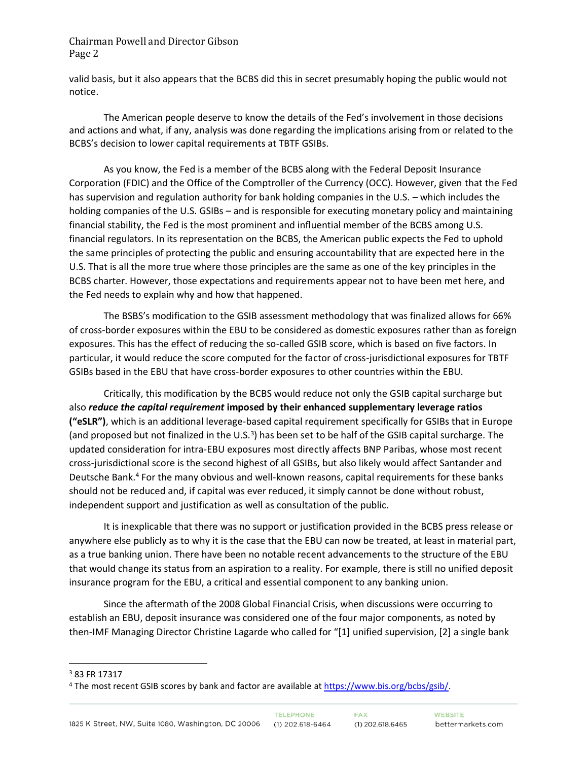valid basis, but it also appears that the BCBS did this in secret presumably hoping the public would not notice.

The American people deserve to know the details of the Fed's involvement in those decisions and actions and what, if any, analysis was done regarding the implications arising from or related to the BCBS's decision to lower capital requirements at TBTF GSIBs.

As you know, the Fed is a member of the BCBS along with the Federal Deposit Insurance Corporation (FDIC) and the Office of the Comptroller of the Currency (OCC). However, given that the Fed has supervision and regulation authority for bank holding companies in the U.S. – which includes the holding companies of the U.S. GSIBs – and is responsible for executing monetary policy and maintaining financial stability, the Fed is the most prominent and influential member of the BCBS among U.S. financial regulators. In its representation on the BCBS, the American public expects the Fed to uphold the same principles of protecting the public and ensuring accountability that are expected here in the U.S. That is all the more true where those principles are the same as one of the key principles in the BCBS charter. However, those expectations and requirements appear not to have been met here, and the Fed needs to explain why and how that happened.

The BSBS's modification to the GSIB assessment methodology that was finalized allows for 66% of cross-border exposures within the EBU to be considered as domestic exposures rather than as foreign exposures. This has the effect of reducing the so-called GSIB score, which is based on five factors. In particular, it would reduce the score computed for the factor of cross-jurisdictional exposures for TBTF GSIBs based in the EBU that have cross-border exposures to other countries within the EBU.

Critically, this modification by the BCBS would reduce not only the GSIB capital surcharge but also *reduce the capital requirement* **imposed by their enhanced supplementary leverage ratios ("eSLR")**, which is an additional leverage-based capital requirement specifically for GSIBs that in Europe (and proposed but not finalized in the U.S.<sup>3</sup>) has been set to be half of the GSIB capital surcharge. The updated consideration for intra-EBU exposures most directly affects BNP Paribas, whose most recent cross-jurisdictional score is the second highest of all GSIBs, but also likely would affect Santander and Deutsche Bank.<sup>4</sup> For the many obvious and well-known reasons, capital requirements for these banks should not be reduced and, if capital was ever reduced, it simply cannot be done without robust, independent support and justification as well as consultation of the public.

It is inexplicable that there was no support or justification provided in the BCBS press release or anywhere else publicly as to why it is the case that the EBU can now be treated, at least in material part, as a true banking union. There have been no notable recent advancements to the structure of the EBU that would change its status from an aspiration to a reality. For example, there is still no unified deposit insurance program for the EBU, a critical and essential component to any banking union.

Since the aftermath of the 2008 Global Financial Crisis, when discussions were occurring to establish an EBU, deposit insurance was considered one of the four major components, as noted by then-IMF Managing Director Christine Lagarde who called for "[1] unified supervision, [2] a single bank

<sup>3</sup> 83 FR 17317

<sup>&</sup>lt;sup>4</sup> The most recent GSIB scores by bank and factor are available a[t https://www.bis.org/bcbs/gsib/.](https://www.bis.org/bcbs/gsib/)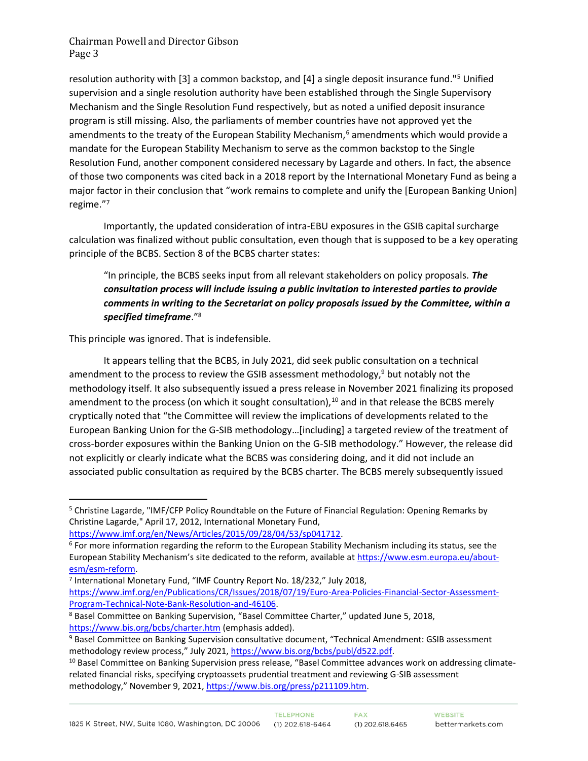resolution authority with [3] a common backstop, and [4] a single deposit insurance fund."<sup>5</sup> Unified supervision and a single resolution authority have been established through the Single Supervisory Mechanism and the Single Resolution Fund respectively, but as noted a unified deposit insurance program is still missing. Also, the parliaments of member countries have not approved yet the amendments to the treaty of the European Stability Mechanism, $6$  amendments which would provide a mandate for the European Stability Mechanism to serve as the common backstop to the Single Resolution Fund, another component considered necessary by Lagarde and others. In fact, the absence of those two components was cited back in a 2018 report by the International Monetary Fund as being a major factor in their conclusion that "work remains to complete and unify the [European Banking Union] regime."<sup>7</sup>

Importantly, the updated consideration of intra-EBU exposures in the GSIB capital surcharge calculation was finalized without public consultation, even though that is supposed to be a key operating principle of the BCBS. Section 8 of the BCBS charter states:

"In principle, the BCBS seeks input from all relevant stakeholders on policy proposals. *The consultation process will include issuing a public invitation to interested parties to provide comments in writing to the Secretariat on policy proposals issued by the Committee, within a specified timeframe*."<sup>8</sup>

This principle was ignored. That is indefensible.

It appears telling that the BCBS, in July 2021, did seek public consultation on a technical amendment to the process to review the GSIB assessment methodology, $9$  but notably not the methodology itself. It also subsequently issued a press release in November 2021 finalizing its proposed amendment to the process (on which it sought consultation), $10$  and in that release the BCBS merely cryptically noted that "the Committee will review the implications of developments related to the European Banking Union for the G-SIB methodology…[including] a targeted review of the treatment of cross-border exposures within the Banking Union on the G-SIB methodology." However, the release did not explicitly or clearly indicate what the BCBS was considering doing, and it did not include an associated public consultation as required by the BCBS charter. The BCBS merely subsequently issued

```
https://www.imf.org/en/News/Articles/2015/09/28/04/53/sp041712.
```
[https://www.imf.org/en/Publications/CR/Issues/2018/07/19/Euro-Area-Policies-Financial-Sector-Assessment-](https://www.imf.org/en/Publications/CR/Issues/2018/07/19/Euro-Area-Policies-Financial-Sector-Assessment-Program-Technical-Note-Bank-Resolution-and-46106)[Program-Technical-Note-Bank-Resolution-and-46106.](https://www.imf.org/en/Publications/CR/Issues/2018/07/19/Euro-Area-Policies-Financial-Sector-Assessment-Program-Technical-Note-Bank-Resolution-and-46106) 

<sup>5</sup> Christine Lagarde, "IMF/CFP Policy Roundtable on the Future of Financial Regulation: Opening Remarks by Christine Lagarde," April 17, 2012, International Monetary Fund,

<sup>&</sup>lt;sup>6</sup> For more information regarding the reform to the European Stability Mechanism including its status, see the European Stability Mechanism's site dedicated to the reform, available at [https://www.esm.europa.eu/about](https://www.esm.europa.eu/about-esm/esm-reform)[esm/esm-reform.](https://www.esm.europa.eu/about-esm/esm-reform)

<sup>&</sup>lt;sup>7</sup> International Monetary Fund, "IMF Country Report No. 18/232," July 2018,

<sup>8</sup> Basel Committee on Banking Supervision, "Basel Committee Charter," updated June 5, 2018, <https://www.bis.org/bcbs/charter.htm> (emphasis added).

<sup>9</sup> Basel Committee on Banking Supervision consultative document, "Technical Amendment: GSIB assessment methodology review process," July 2021, [https://www.bis.org/bcbs/publ/d522.pdf.](https://www.bis.org/bcbs/publ/d522.pdf) 

<sup>&</sup>lt;sup>10</sup> Basel Committee on Banking Supervision press release, "Basel Committee advances work on addressing climaterelated financial risks, specifying cryptoassets prudential treatment and reviewing G-SIB assessment methodology," November 9, 2021, [https://www.bis.org/press/p211109.htm.](https://www.bis.org/press/p211109.htm)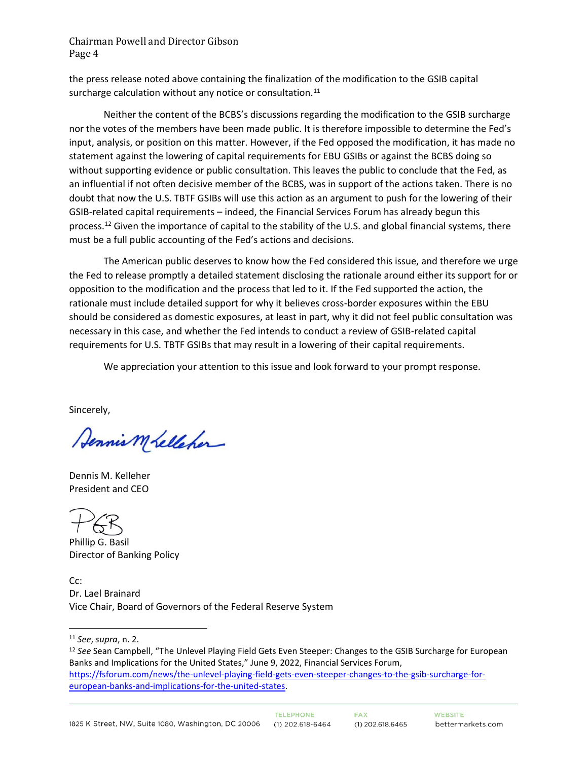the press release noted above containing the finalization of the modification to the GSIB capital surcharge calculation without any notice or consultation.<sup>11</sup>

Neither the content of the BCBS's discussions regarding the modification to the GSIB surcharge nor the votes of the members have been made public. It is therefore impossible to determine the Fed's input, analysis, or position on this matter. However, if the Fed opposed the modification, it has made no statement against the lowering of capital requirements for EBU GSIBs or against the BCBS doing so without supporting evidence or public consultation. This leaves the public to conclude that the Fed, as an influential if not often decisive member of the BCBS, was in support of the actions taken. There is no doubt that now the U.S. TBTF GSIBs will use this action as an argument to push for the lowering of their GSIB-related capital requirements – indeed, the Financial Services Forum has already begun this process.<sup>12</sup> Given the importance of capital to the stability of the U.S. and global financial systems, there must be a full public accounting of the Fed's actions and decisions.

The American public deserves to know how the Fed considered this issue, and therefore we urge the Fed to release promptly a detailed statement disclosing the rationale around either its support for or opposition to the modification and the process that led to it. If the Fed supported the action, the rationale must include detailed support for why it believes cross-border exposures within the EBU should be considered as domestic exposures, at least in part, why it did not feel public consultation was necessary in this case, and whether the Fed intends to conduct a review of GSIB-related capital requirements for U.S. TBTF GSIBs that may result in a lowering of their capital requirements.

We appreciation your attention to this issue and look forward to your prompt response.

Sincerely,

Dennis M Lelleher

Dennis M. Kelleher President and CEO

Phillip G. Basil Director of Banking Policy

Cc: Dr. Lael Brainard Vice Chair, Board of Governors of the Federal Reserve System

<sup>11</sup> *See*, *supra*, n. 2.

<sup>12</sup> *See* Sean Campbell, "The Unlevel Playing Field Gets Even Steeper: Changes to the GSIB Surcharge for European Banks and Implications for the United States," June 9, 2022, Financial Services Forum, [https://fsforum.com/news/the-unlevel-playing-field-gets-even-steeper-changes-to-the-gsib-surcharge-for](https://fsforum.com/news/the-unlevel-playing-field-gets-even-steeper-changes-to-the-gsib-surcharge-for-european-banks-and-implications-for-the-united-states)[european-banks-and-implications-for-the-united-states.](https://fsforum.com/news/the-unlevel-playing-field-gets-even-steeper-changes-to-the-gsib-surcharge-for-european-banks-and-implications-for-the-united-states)